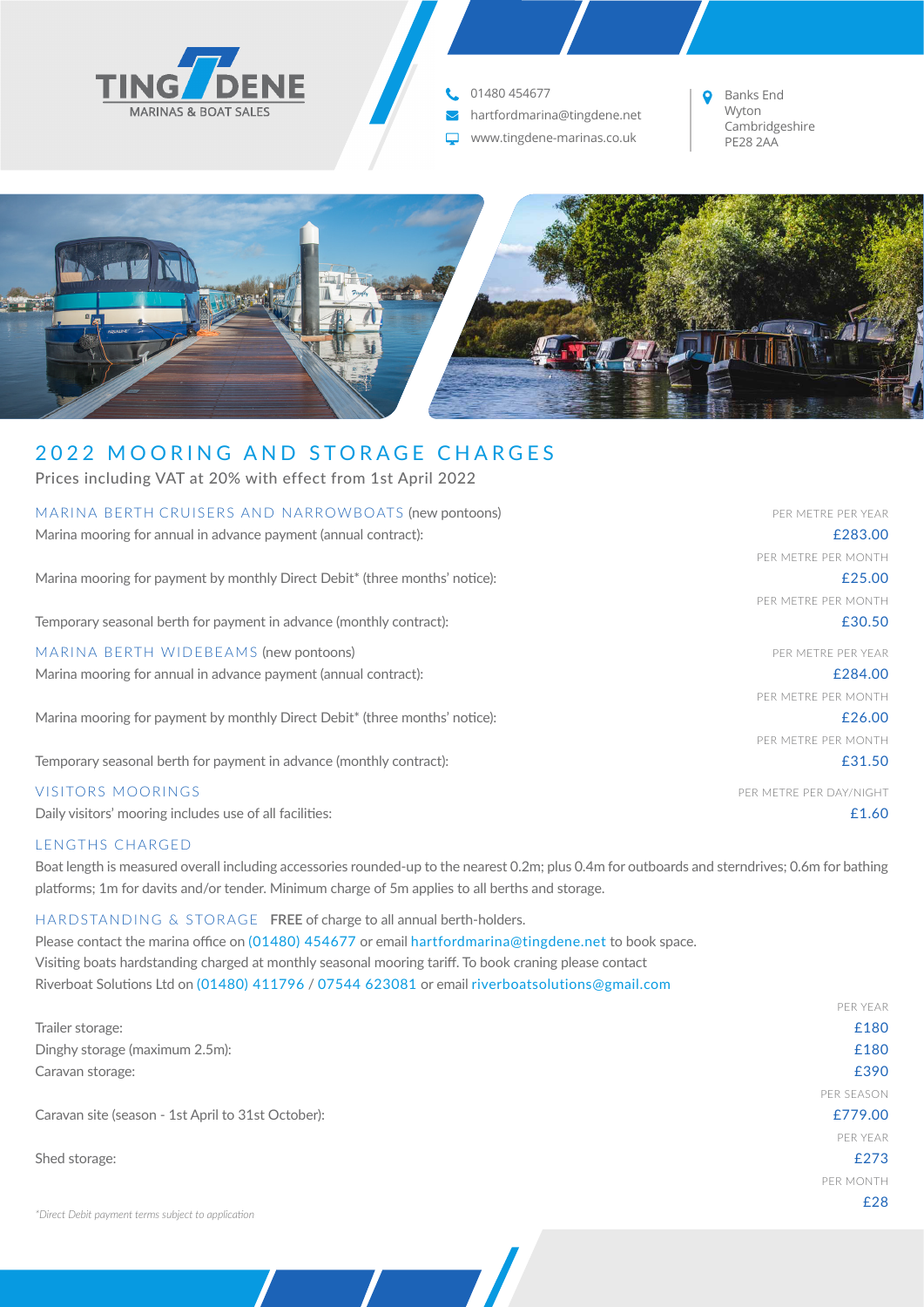

**t.** 01480 454677

- hartfordmarina@tingdene.net  $\blacktriangledown$
- www.tingdene-marinas.co.uk PE28 2AA

Banks End Wyton<br>Cambridgeshire



# 2022 MOORING AND STORAGE CHARGES

Prices including VAT at 20% with effect from 1st April 2022

# MARINA BERTH CRUISERS AND NARROWBOATS (new pontoons) The result of the PER METRE PER YEAR

Marina mooring for annual in advance payment (annual contract): **EXECON EXECON EXECON** EXECONDENTIAL EXECONDENTIAL EXECONDENTIAL EXECONDENTIAL EXECONDENTIAL EXECONDENTIAL EXECONDENTIAL EXECONDENTIAL EXECONDENTIAL EXECONDEN

Marina mooring for payment by monthly Direct Debit\* (three months' notice):  $\epsilon$  25.00

Temporary seasonal berth for payment in advance (monthly contract):<br>
E30.50

MARINA BERTH WIDEBEAMS (new pontoons) and the state of the state of the state of the per metric per year.

Marina mooring for annual in advance payment (annual contract): **EXECONFING CONTRACT CONTRACT CONTRACT CONTRACT** 

Marina mooring for payment by monthly Direct Debit\* (three months' notice):  $\epsilon$  26.00

Temporary seasonal berth for payment in advance (monthly contract):  $\qquad 21.50$ 

## VISITORS MOORINGS PER METRE PER DAY/NIGHT

Daily visitors' mooring includes use of all facilities: **E1.60** and the state of all facilities: **E1.60** and the state of all facilities:

# LENGTHS CHARGED

Boat length is measured overall including accessories rounded-up to the nearest 0.2m; plus 0.4m for outboards and sterndrives; 0.6m for bathing platforms; 1m for davits and/or tender. Minimum charge of 5m applies to all berths and storage.

## HARDSTANDING & STORAGE **FREE** of charge to all annual berth-holders.

Please contact the marina office on (01480) 454677 or email hartfordmarina@tingdene.net to book space. Visiting boats hardstanding charged at monthly seasonal mooring tariff. To book craning please contact Riverboat Solutions Ltd on (01480) 411796 / 07544 623081 or email riverboatsolutions@gmail.com

|                                                                                                                                                                                                                                                                   | PER YEAR   |
|-------------------------------------------------------------------------------------------------------------------------------------------------------------------------------------------------------------------------------------------------------------------|------------|
| Trailer storage:                                                                                                                                                                                                                                                  | £180       |
| Dinghy storage (maximum 2.5m):                                                                                                                                                                                                                                    | £180       |
| Caravan storage:                                                                                                                                                                                                                                                  | £390       |
|                                                                                                                                                                                                                                                                   | PER SEASON |
| Caravan site (season - 1st April to 31st October):                                                                                                                                                                                                                | £779.00    |
|                                                                                                                                                                                                                                                                   | PER YEAR   |
| Shed storage:<br>$\mathcal{L} \left( \mathcal{L} \right)$ and a set of the set of the set of the set of the set of the set of the set of the set of the set of the set of the set of the set of the set of the set of the set of the set of the set of the set of | £273       |
|                                                                                                                                                                                                                                                                   | PER MONTH  |
|                                                                                                                                                                                                                                                                   | £28        |
|                                                                                                                                                                                                                                                                   |            |

*\*Direct Debit payment terms subject to application*

PER METRE PER MONTH

PER METRE PER MONTH

PER METRE PER MONTH

PER METRE PER MONTH